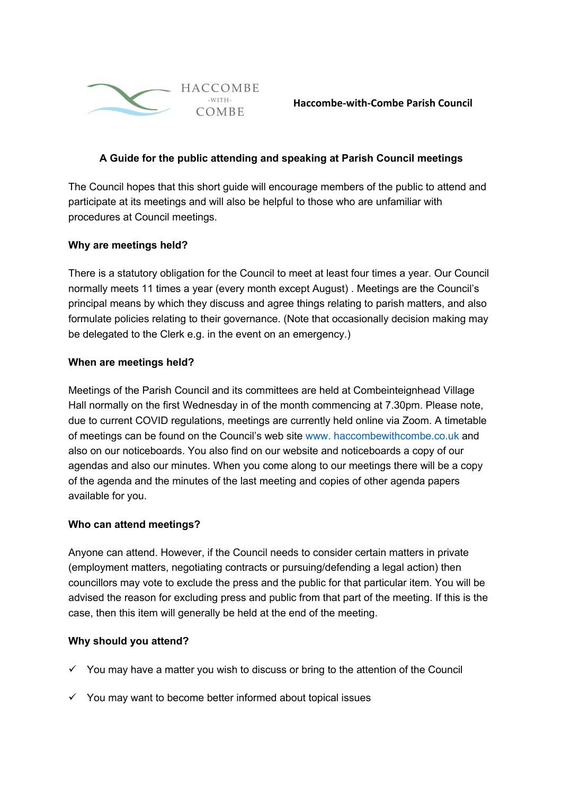

## **A Guide for the public attending and speaking at Parish Council meetings**

The Council hopes that this short guide will encourage members of the public to attend and participate at its meetings and will also be helpful to those who are unfamiliar with procedures at Council meetings.

## **Why are meetings held?**

There is a statutory obligation for the Council to meet at least four times a year. Our Council normally meets 11 times a year (every month except August) . Meetings are the Council's principal means by which they discuss and agree things relating to parish matters, and also formulate policies relating to their governance. (Note that occasionally decision making may be delegated to the Clerk e.g. in the event on an emergency.)

### **When are meetings held?**

Meetings of the Parish Council and its committees are held at Combeinteignhead Village Hall normally on the first Wednesday in of the month commencing at 7.30pm. Please note, due to current COVID regulations, meetings are currently held online via Zoom. A timetable of meetings can be found on the Council's web site www. haccombewithcombe.co.uk and also on our noticeboards. You also find on our website and noticeboards a copy of our agendas and also our minutes. When you come along to our meetings there will be a copy of the agenda and the minutes of the last meeting and copies of other agenda papers available for you.

### **Who can attend meetings?**

Anyone can attend. However, if the Council needs to consider certain matters in private (employment matters, negotiating contracts or pursuing/defending a legal action) then councillors may vote to exclude the press and the public for that particular item. You will be advised the reason for excluding press and public from that part of the meeting. If this is the case, then this item will generally be held at the end of the meeting.

### **Why should you attend?**

- $\checkmark$  You may have a matter you wish to discuss or bring to the attention of the Council
- $\checkmark$  You may want to become better informed about topical issues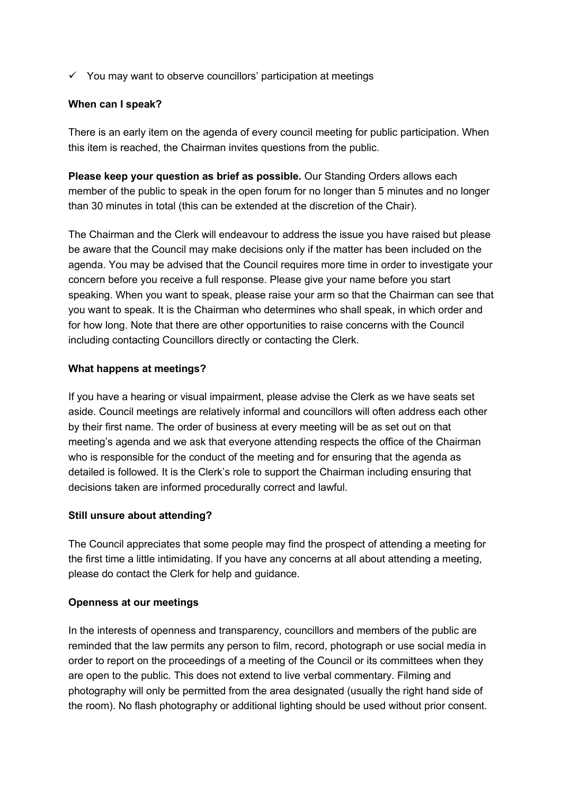$\checkmark$  You may want to observe councillors' participation at meetings

### **When can I speak?**

There is an early item on the agenda of every council meeting for public participation. When this item is reached, the Chairman invites questions from the public.

**Please keep your question as brief as possible.** Our Standing Orders allows each member of the public to speak in the open forum for no longer than 5 minutes and no longer than 30 minutes in total (this can be extended at the discretion of the Chair).

The Chairman and the Clerk will endeavour to address the issue you have raised but please be aware that the Council may make decisions only if the matter has been included on the agenda. You may be advised that the Council requires more time in order to investigate your concern before you receive a full response. Please give your name before you start speaking. When you want to speak, please raise your arm so that the Chairman can see that you want to speak. It is the Chairman who determines who shall speak, in which order and for how long. Note that there are other opportunities to raise concerns with the Council including contacting Councillors directly or contacting the Clerk.

## **What happens at meetings?**

If you have a hearing or visual impairment, please advise the Clerk as we have seats set aside. Council meetings are relatively informal and councillors will often address each other by their first name. The order of business at every meeting will be as set out on that meeting's agenda and we ask that everyone attending respects the office of the Chairman who is responsible for the conduct of the meeting and for ensuring that the agenda as detailed is followed. It is the Clerk's role to support the Chairman including ensuring that decisions taken are informed procedurally correct and lawful.

### **Still unsure about attending?**

The Council appreciates that some people may find the prospect of attending a meeting for the first time a little intimidating. If you have any concerns at all about attending a meeting, please do contact the Clerk for help and guidance.

### **Openness at our meetings**

In the interests of openness and transparency, councillors and members of the public are reminded that the law permits any person to film, record, photograph or use social media in order to report on the proceedings of a meeting of the Council or its committees when they are open to the public. This does not extend to live verbal commentary. Filming and photography will only be permitted from the area designated (usually the right hand side of the room). No flash photography or additional lighting should be used without prior consent.